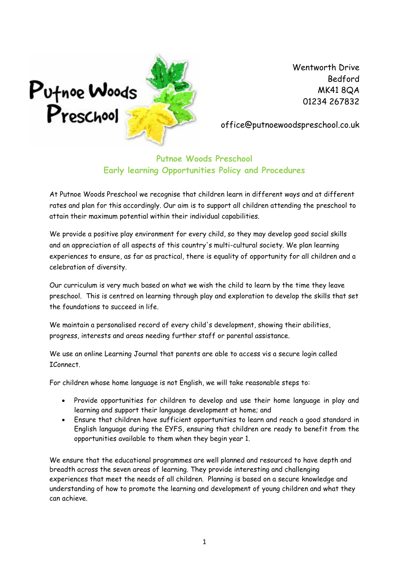

office@putnoewoodspreschool.co.uk

## **Putnoe Woods Preschool Early learning Opportunities Policy and Procedures**

At Putnoe Woods Preschool we recognise that children learn in different ways and at different rates and plan for this accordingly. Our aim is to support all children attending the preschool to attain their maximum potential within their individual capabilities.

We provide a positive play environment for every child, so they may develop good social skills and an appreciation of all aspects of this country's multi-cultural society. We plan learning experiences to ensure, as far as practical, there is equality of opportunity for all children and a celebration of diversity.

Our curriculum is very much based on what we wish the child to learn by the time they leave preschool. This is centred on learning through play and exploration to develop the skills that set the foundations to succeed in life.

We maintain a personalised record of every child's development, showing their abilities, progress, interests and areas needing further staff or parental assistance.

We use an online Learning Journal that parents are able to access vis a secure login called IConnect.

For children whose home language is not English, we will take reasonable steps to:

- Provide opportunities for children to develop and use their home language in play and learning and support their language development at home; and
- Ensure that children have sufficient opportunities to learn and reach a good standard in English language during the EYFS, ensuring that children are ready to benefit from the opportunities available to them when they begin year 1.

We ensure that the educational programmes are well planned and resourced to have depth and breadth across the seven areas of learning. They provide interesting and challenging experiences that meet the needs of all children. Planning is based on a secure knowledge and understanding of how to promote the learning and development of young children and what they can achieve.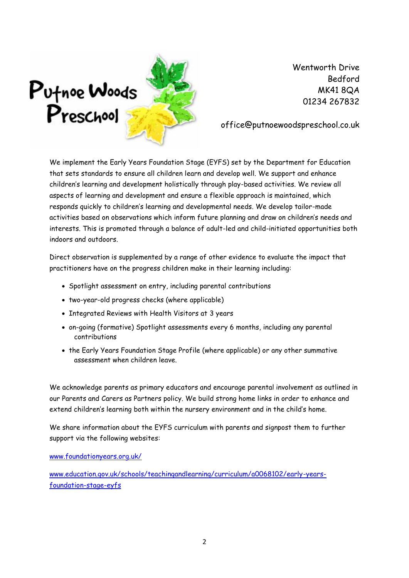

office@putnoewoodspreschool.co.uk

We implement the Early Years Foundation Stage (EYFS) set by the Department for Education that sets standards to ensure all children learn and develop well. We support and enhance children's learning and development holistically through play-based activities. We review all aspects of learning and development and ensure a flexible approach is maintained, which responds quickly to children's learning and developmental needs. We develop tailor-made activities based on observations which inform future planning and draw on children's needs and interests. This is promoted through a balance of adult-led and child-initiated opportunities both indoors and outdoors.

Direct observation is supplemented by a range of other evidence to evaluate the impact that practitioners have on the progress children make in their learning including:

- Spotlight assessment on entry, including parental contributions
- two-year-old progress checks (where applicable)
- Integrated Reviews with Health Visitors at 3 years
- on-going (formative) Spotlight assessments every 6 months, including any parental contributions
- the Early Years Foundation Stage Profile (where applicable) or any other summative assessment when children leave.

We acknowledge parents as primary educators and encourage parental involvement as outlined in our Parents and Carers as Partners policy. We build strong home links in order to enhance and extend children's learning both within the nursery environment and in the child's home.

We share information about the EYFS curriculum with parents and signpost them to further support via the following websites:

[www.foundationyears.org.uk/](http://www.foundationyears.org.uk/)

[www.education.gov.uk/schools/teachingandlearning/curriculum/a0068102/early-years](http://www.education.gov.uk/schools/teachingandlearning/curriculum/a0068102/early-years-foundation-stage-eyfs)[foundation-stage-eyfs](http://www.education.gov.uk/schools/teachingandlearning/curriculum/a0068102/early-years-foundation-stage-eyfs)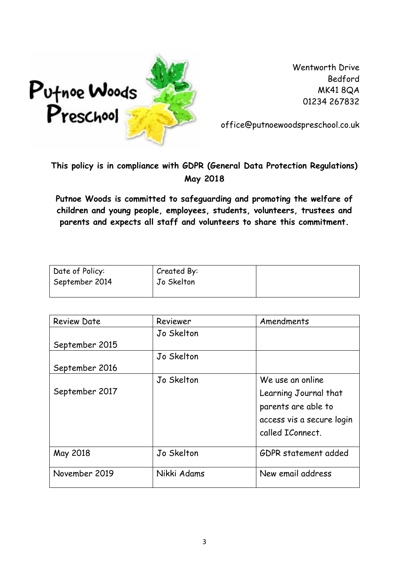

office@putnoewoodspreschool.co.uk

## **This policy is in compliance with GDPR (General Data Protection Regulations) May 2018**

**Putnoe Woods is committed to safeguarding and promoting the welfare of children and young people, employees, students, volunteers, trustees and parents and expects all staff and volunteers to share this commitment.**

| Date of Policy: | Created By: |  |
|-----------------|-------------|--|
| September 2014  | Jo Skelton  |  |
|                 |             |  |

| <b>Review Date</b> | Amendments<br>Reviewer |                           |  |
|--------------------|------------------------|---------------------------|--|
|                    | Jo Skelton             |                           |  |
| September 2015     |                        |                           |  |
|                    | Jo Skelton             |                           |  |
| September 2016     |                        |                           |  |
|                    | Jo Skelton             | We use an online          |  |
| September 2017     |                        | Learning Journal that     |  |
|                    |                        | parents are able to       |  |
|                    |                        | access vis a secure login |  |
|                    |                        | called IConnect.          |  |
| May 2018           | Jo Skelton             | GDPR statement added      |  |
| November 2019      | Nikki Adams            | New email address         |  |